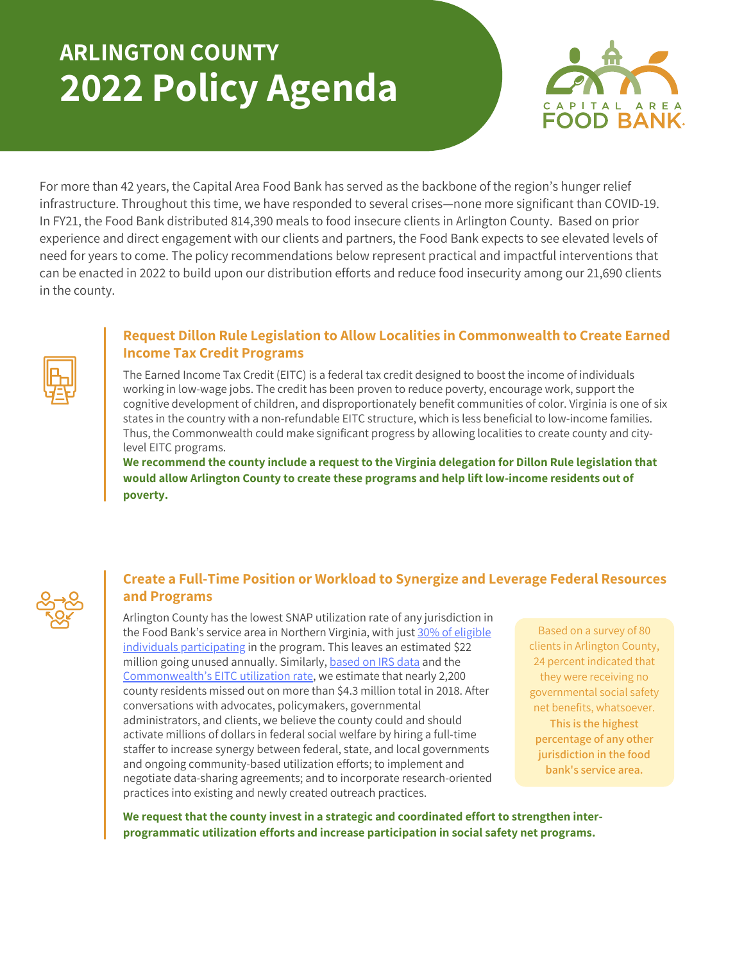## **ARLINGTON COUNTY 2022 Policy Agenda**



For more than 42 years, the Capital Area Food Bank has served as the backbone of the region's hunger relief infrastructure. Throughout this time, we have responded to several crises—none more significant than COVID-19. In FY21, the Food Bank distributed 814,390 meals to food insecure clients in Arlington County. Based on prior experience and direct engagement with our clients and partners, the Food Bank expects to see elevated levels of need for years to come. The policy recommendations below represent practical and impactful interventions that can be enacted in 2022 to build upon our distribution efforts and reduce food insecurity among our 21,690 clients in the county.



## **Request Dillon Rule Legislation to Allow Localities in Commonwealth to Create Earned Income Tax Credit Programs**

The Earned Income Tax Credit (EITC) is a federal tax credit designed to boost the income of individuals working in low-wage jobs. The credit has been proven to reduce poverty, encourage work, support the cognitive development of children, and disproportionately benefit communities of color. Virginia is one of six states in the country with a non-refundable EITC structure, which is less beneficial to low-income families. Thus, the Commonwealth could make significant progress by allowing localities to create county and citylevel EITC programs.

**We recommend the county include a request to the Virginia delegation for Dillon Rule legislation that would allow Arlington County to create these programs and help lift low-income residents out of poverty.**

## **Create a Full-Time Position or Workload to Synergize and Leverage Federal Resources and Programs**

Arlington County has the lowest SNAP utilization rate of any jurisdiction in the Food Bank's service area in Northern Virginia, with just 30% of eligible individuals [participating](https://hunger-report.capitalareafoodbank.org/) in the program. This leaves an estimated \$22 million going unused annually. Similarly, [based](https://www.irs.gov/statistics/soi-tax-stats-county-data-2018) on IRS data and the [Commonwealth's](https://www.eitc.irs.gov/eitc-central/participation-rate/eitc-participation-rate-by-states#:~:text=EITC%20Participation%20Rate%20by%20States%20%20%20,%20%2080.9%25%20%2029%20more%20rows%20) EITC utilization rate, we estimate that nearly 2,200 county residents missed out on more than \$4.3 million total in 2018. After conversations with advocates, policymakers, governmental administrators, and clients, we believe the county could and should activate millions of dollars in federal social welfare by hiring a full-time staffer to increase synergy between federal, state, and local governments and ongoing community-based utilization efforts; to implement and negotiate data-sharing agreements; and to incorporate research-oriented practices into existing and newly created outreach practices.

Based on a survey of 80 clients in Arlington County, 24 percent indicated that they were receiving no governmental social safety net benefits, whatsoever. **This is the highest percentage of any other jurisdiction in the food bank's service area.**

**We request that the county invest in a strategic and coordinated effort to strengthen interprogrammatic utilization efforts and increase participation in social safety net programs.**